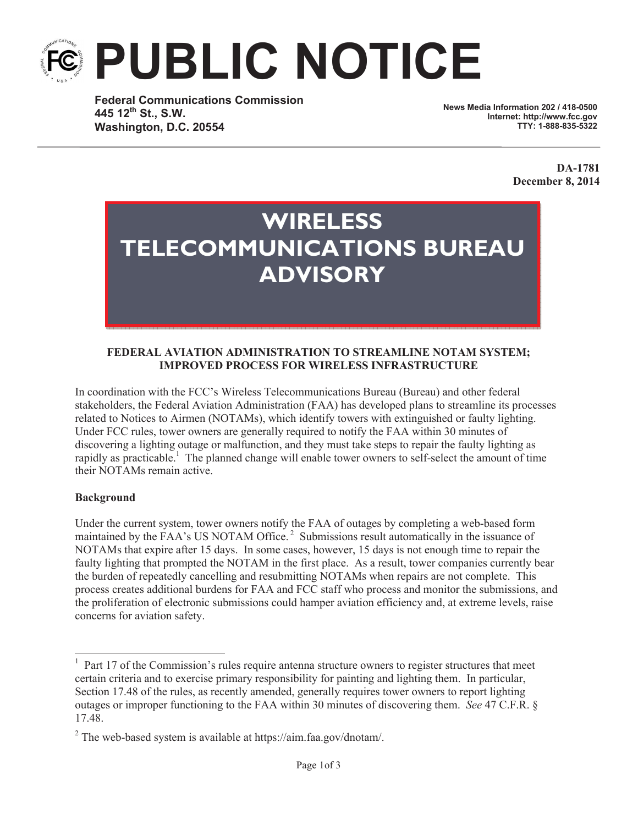# **PUBLIC NOTICE**

**Federal Communications Commission 445 12th St., S.W. Washington, D.C. 20554**

**News Media Information 202 / 418-0500 Internet: http://www.fcc.gov TTY: 1-888-835-5322**

> **DA-1781 December 8, 2014**



## **FEDERAL AVIATION ADMINISTRATION TO STREAMLINE NOTAM SYSTEM; IMPROVED PROCESS FOR WIRELESS INFRASTRUCTURE**

In coordination with the FCC's Wireless Telecommunications Bureau (Bureau) and other federal stakeholders, the Federal Aviation Administration (FAA) has developed plans to streamline its processes related to Notices to Airmen (NOTAMs), which identify towers with extinguished or faulty lighting. Under FCC rules, tower owners are generally required to notify the FAA within 30 minutes of discovering a lighting outage or malfunction, and they must take steps to repair the faulty lighting as rapidly as practicable.<sup>1</sup> The planned change will enable tower owners to self-select the amount of time their NOTAMs remain active.

### **Background**

Under the current system, tower owners notify the FAA of outages by completing a web-based form maintained by the FAA's US NOTAM Office.<sup>2</sup> Submissions result automatically in the issuance of NOTAMs that expire after 15 days. In some cases, however, 15 days is not enough time to repair the faulty lighting that prompted the NOTAM in the first place. As a result, tower companies currently bear the burden of repeatedly cancelling and resubmitting NOTAMs when repairs are not complete. This process creates additional burdens for FAA and FCC staff who process and monitor the submissions, and the proliferation of electronic submissions could hamper aviation efficiency and, at extreme levels, raise concerns for aviation safety.

<sup>&</sup>lt;sup>1</sup> Part 17 of the Commission's rules require antenna structure owners to register structures that meet certain criteria and to exercise primary responsibility for painting and lighting them. In particular, Section 17.48 of the rules, as recently amended, generally requires tower owners to report lighting outages or improper functioning to the FAA within 30 minutes of discovering them. *See* 47 C.F.R. § 17.48.

<sup>2</sup> The web-based system is available at https://aim.faa.gov/dnotam/.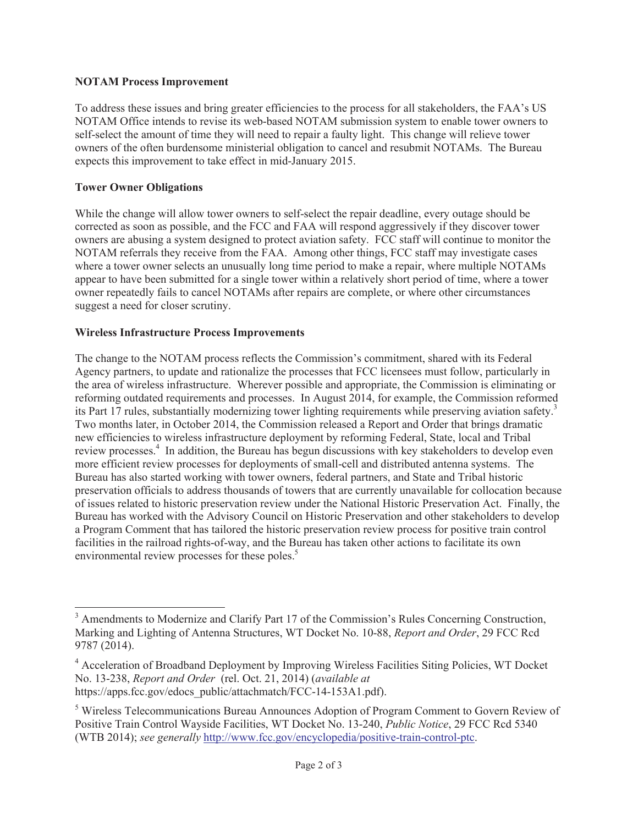#### **NOTAM Process Improvement**

To address these issues and bring greater efficiencies to the process for all stakeholders, the FAA's US NOTAM Office intends to revise its web-based NOTAM submission system to enable tower owners to self-select the amount of time they will need to repair a faulty light. This change will relieve tower owners of the often burdensome ministerial obligation to cancel and resubmit NOTAMs. The Bureau expects this improvement to take effect in mid-January 2015.

#### **Tower Owner Obligations**

While the change will allow tower owners to self-select the repair deadline, every outage should be corrected as soon as possible, and the FCC and FAA will respond aggressively if they discover tower owners are abusing a system designed to protect aviation safety. FCC staff will continue to monitor the NOTAM referrals they receive from the FAA. Among other things, FCC staff may investigate cases where a tower owner selects an unusually long time period to make a repair, where multiple NOTAMs appear to have been submitted for a single tower within a relatively short period of time, where a tower owner repeatedly fails to cancel NOTAMs after repairs are complete, or where other circumstances suggest a need for closer scrutiny.

#### **Wireless Infrastructure Process Improvements**

The change to the NOTAM process reflects the Commission's commitment, shared with its Federal Agency partners, to update and rationalize the processes that FCC licensees must follow, particularly in the area of wireless infrastructure. Wherever possible and appropriate, the Commission is eliminating or reforming outdated requirements and processes. In August 2014, for example, the Commission reformed its Part 17 rules, substantially modernizing tower lighting requirements while preserving aviation safety.<sup>3</sup> Two months later, in October 2014, the Commission released a Report and Order that brings dramatic new efficiencies to wireless infrastructure deployment by reforming Federal, State, local and Tribal review processes.<sup>4</sup> In addition, the Bureau has begun discussions with key stakeholders to develop even more efficient review processes for deployments of small-cell and distributed antenna systems. The Bureau has also started working with tower owners, federal partners, and State and Tribal historic preservation officials to address thousands of towers that are currently unavailable for collocation because of issues related to historic preservation review under the National Historic Preservation Act. Finally, the Bureau has worked with the Advisory Council on Historic Preservation and other stakeholders to develop a Program Comment that has tailored the historic preservation review process for positive train control facilities in the railroad rights-of-way, and the Bureau has taken other actions to facilitate its own environmental review processes for these poles.<sup>5</sup>

<sup>&</sup>lt;sup>3</sup> Amendments to Modernize and Clarify Part 17 of the Commission's Rules Concerning Construction, Marking and Lighting of Antenna Structures, WT Docket No. 10-88, *Report and Order*, 29 FCC Rcd 9787 (2014).

<sup>4</sup> Acceleration of Broadband Deployment by Improving Wireless Facilities Siting Policies, WT Docket No. 13-238, *Report and Order* (rel. Oct. 21, 2014) (*available at* https://apps.fcc.gov/edocs\_public/attachmatch/FCC-14-153A1.pdf).

<sup>5</sup> Wireless Telecommunications Bureau Announces Adoption of Program Comment to Govern Review of Positive Train Control Wayside Facilities, WT Docket No. 13-240, *Public Notice*, 29 FCC Rcd 5340 (WTB 2014); *see generally* http://www.fcc.gov/encyclopedia/positive-train-control-ptc.